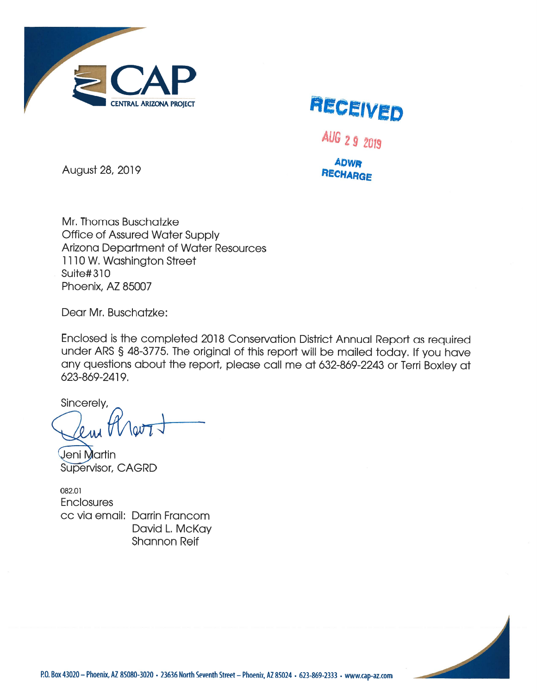



AUG 29 2019

**ADWR RECHARGE** 

August 28, 2019

Mr. Thomas Buschatzke **Office of Assured Water Supply Arizona Department of Water Resources** 1110 W. Washington Street **Suite#310** Phoenix, AZ 85007

Dear Mr. Buschatzke:

Enclosed is the completed 2018 Conservation District Annual Report as required under ARS § 48-3775. The original of this report will be mailed today. If you have any questions about the report, please call me at 632-869-2243 or Terri Boxley at 623-869-2419.

Sincerely,

Jeni Martin Supervisor, CAGRD

082.01 **Enclosures** cc via email: Darrin Francom David L. McKay **Shannon Reif**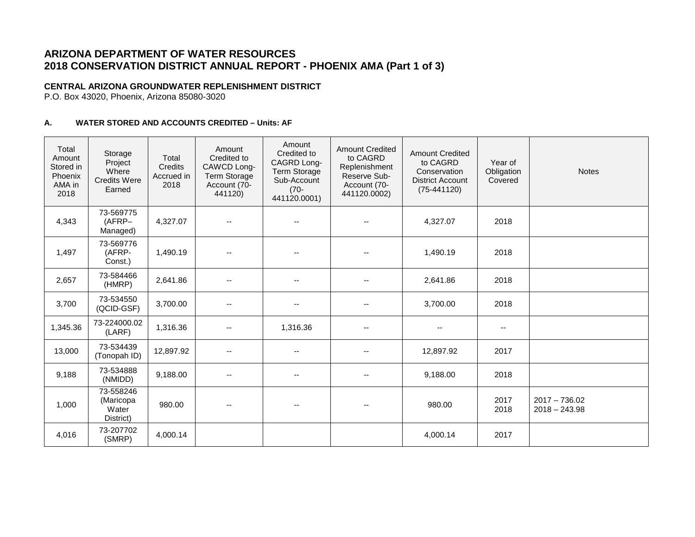# **ARIZONA DEPARTMENT OF WATER RESOURCES 2018 CONSERVATION DISTRICT ANNUAL REPORT - PHOENIX AMA (Part 1 of 3)**

## **CENTRAL ARIZONA GROUNDWATER REPLENISHMENT DISTRICT**

P.O. Box 43020, Phoenix, Arizona 85080-3020

### **A. WATER STORED AND ACCOUNTS CREDITED – Units: AF**

| Total<br>Amount<br>Stored in<br>Phoenix<br>AMA in<br>2018 | Storage<br>Project<br>Where<br><b>Credits Were</b><br>Earned | Total<br>Credits<br>Accrued in<br>2018 | Amount<br>Credited to<br>CAWCD Long-<br><b>Term Storage</b><br>Account (70-<br>441120) | Amount<br>Credited to<br>CAGRD Long-<br><b>Term Storage</b><br>Sub-Account<br>$(70 -$<br>441120.0001) | <b>Amount Credited</b><br>to CAGRD<br>Replenishment<br>Reserve Sub-<br>Account (70-<br>441120.0002) | <b>Amount Credited</b><br>to CAGRD<br>Conservation<br><b>District Account</b><br>$(75-441120)$ | Year of<br>Obligation<br>Covered | <b>Notes</b>                       |
|-----------------------------------------------------------|--------------------------------------------------------------|----------------------------------------|----------------------------------------------------------------------------------------|-------------------------------------------------------------------------------------------------------|-----------------------------------------------------------------------------------------------------|------------------------------------------------------------------------------------------------|----------------------------------|------------------------------------|
| 4,343                                                     | 73-569775<br>(AFRP-<br>Managed)                              | 4,327.07                               | $\mathbf{u}$                                                                           | $\overline{a}$                                                                                        |                                                                                                     | 4,327.07                                                                                       | 2018                             |                                    |
| 1,497                                                     | 73-569776<br>(AFRP-<br>Const.)                               | 1,490.19                               | $\overline{\phantom{m}}$                                                               | $\overline{\phantom{a}}$                                                                              |                                                                                                     | 1,490.19                                                                                       | 2018                             |                                    |
| 2,657                                                     | 73-584466<br>(HMRP)                                          | 2,641.86                               | $\sim$                                                                                 | --                                                                                                    |                                                                                                     | 2,641.86                                                                                       | 2018                             |                                    |
| 3,700                                                     | 73-534550<br>(QCID-GSF)                                      | 3,700.00                               | $\overline{\phantom{a}}$                                                               | $\overline{\phantom{a}}$                                                                              | --                                                                                                  | 3,700.00                                                                                       | 2018                             |                                    |
| 1,345.36                                                  | 73-224000.02<br>(LARF)                                       | 1,316.36                               | $\overline{\phantom{m}}$                                                               | 1,316.36                                                                                              | $\overline{\phantom{a}}$                                                                            | --                                                                                             | $\overline{\phantom{a}}$         |                                    |
| 13,000                                                    | 73-534439<br>(Tonopah ID)                                    | 12,897.92                              | $\sim$                                                                                 | $\overline{\phantom{a}}$                                                                              |                                                                                                     | 12,897.92                                                                                      | 2017                             |                                    |
| 9,188                                                     | 73-534888<br>(NMIDD)                                         | 9,188.00                               | --                                                                                     | --                                                                                                    |                                                                                                     | 9,188.00                                                                                       | 2018                             |                                    |
| 1,000                                                     | 73-558246<br>(Maricopa<br>Water<br>District)                 | 980.00                                 | $\sim$                                                                                 |                                                                                                       |                                                                                                     | 980.00                                                                                         | 2017<br>2018                     | $2017 - 736.02$<br>$2018 - 243.98$ |
| 4,016                                                     | 73-207702<br>(SMRP)                                          | 4,000.14                               |                                                                                        |                                                                                                       |                                                                                                     | 4,000.14                                                                                       | 2017                             |                                    |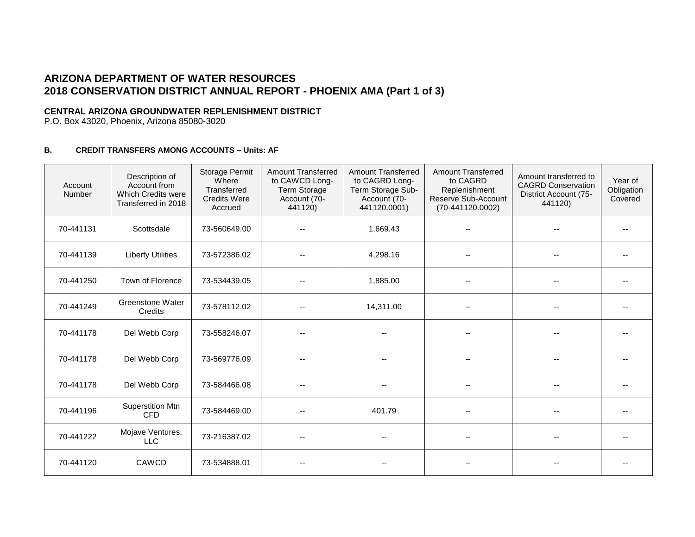# **ARIZONA DEPARTMENT OF WATER RESOURCES 2018 CONSERVATION DISTRICT ANNUAL REPORT - PHOENIX AMA (Part 1 of 3)**

### **CENTRAL ARIZONA GROUNDWATER REPLENISHMENT DISTRICT**

P.O. Box 43020, Phoenix, Arizona 85080-3020

### **B. CREDIT TRANSFERS AMONG ACCOUNTS – Units: AF**

| Account<br>Number | Description of<br>Account from<br>Which Credits were<br>Transferred in 2018 | Storage Permit<br>Where<br>Transferred<br><b>Credits Were</b><br>Accrued | <b>Amount Transferred</b><br>to CAWCD Long-<br><b>Term Storage</b><br>Account (70-<br>441120) | <b>Amount Transferred</b><br>to CAGRD Long-<br>Term Storage Sub-<br>Account (70-<br>441120.0001) | <b>Amount Transferred</b><br>to CAGRD<br>Replenishment<br>Reserve Sub-Account<br>(70-441120.0002) | Amount transferred to<br><b>CAGRD Conservation</b><br>District Account (75-<br>441120) | Year of<br>Obligation<br>Covered |
|-------------------|-----------------------------------------------------------------------------|--------------------------------------------------------------------------|-----------------------------------------------------------------------------------------------|--------------------------------------------------------------------------------------------------|---------------------------------------------------------------------------------------------------|----------------------------------------------------------------------------------------|----------------------------------|
| 70-441131         | Scottsdale                                                                  | 73-560649.00                                                             |                                                                                               | 1,669.43                                                                                         |                                                                                                   |                                                                                        |                                  |
| 70-441139         | <b>Liberty Utilities</b>                                                    | 73-572386.02                                                             |                                                                                               | 4,298.16                                                                                         |                                                                                                   |                                                                                        |                                  |
| 70-441250         | Town of Florence                                                            | 73-534439.05                                                             |                                                                                               | 1,885.00                                                                                         |                                                                                                   | $\overline{\phantom{a}}$                                                               | $\overline{\phantom{a}}$         |
| 70-441249         | <b>Greenstone Water</b><br>Credits                                          | 73-578112.02                                                             |                                                                                               | 14,311.00                                                                                        |                                                                                                   |                                                                                        | $\qquad \qquad -$                |
| 70-441178         | Del Webb Corp                                                               | 73-558246.07                                                             |                                                                                               |                                                                                                  |                                                                                                   |                                                                                        |                                  |
| 70-441178         | Del Webb Corp                                                               | 73-569776.09                                                             |                                                                                               |                                                                                                  |                                                                                                   |                                                                                        |                                  |
| 70-441178         | Del Webb Corp                                                               | 73-584466.08                                                             |                                                                                               |                                                                                                  |                                                                                                   |                                                                                        |                                  |
| 70-441196         | Superstition Mtn<br><b>CFD</b>                                              | 73-584469.00                                                             |                                                                                               | 401.79                                                                                           | $\overline{\phantom{a}}$                                                                          | $\overline{\phantom{a}}$                                                               | $\overline{\phantom{m}}$         |
| 70-441222         | Mojave Ventures,<br><b>LLC</b>                                              | 73-216387.02                                                             |                                                                                               |                                                                                                  | $-$                                                                                               |                                                                                        | $-$                              |
| 70-441120         | CAWCD                                                                       | 73-534888.01                                                             |                                                                                               |                                                                                                  |                                                                                                   |                                                                                        |                                  |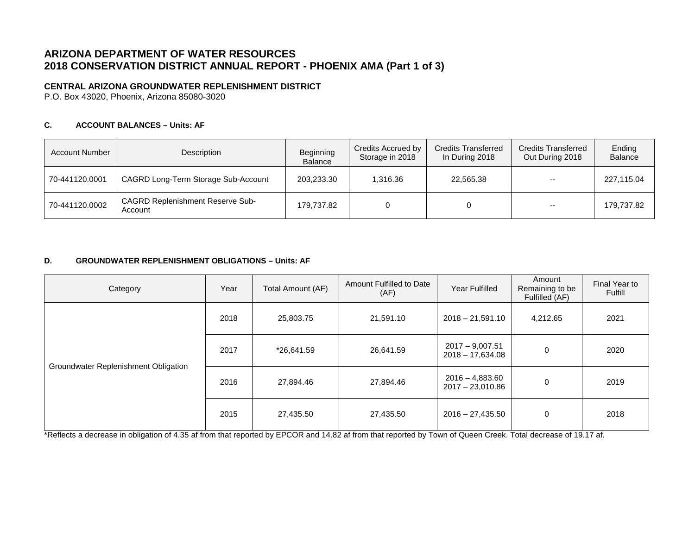# **ARIZONA DEPARTMENT OF WATER RESOURCES 2018 CONSERVATION DISTRICT ANNUAL REPORT - PHOENIX AMA (Part 1 of 3)**

## **CENTRAL ARIZONA GROUNDWATER REPLENISHMENT DISTRICT**

P.O. Box 43020, Phoenix, Arizona 85080-3020

### **C. ACCOUNT BALANCES – Units: AF**

| <b>Account Number</b> | Description                                        | Beginning<br>Balance | Credits Accrued by<br>Storage in 2018 | <b>Credits Transferred</b><br>In During 2018 | <b>Credits Transferred</b><br>Out During 2018 | Ending<br><b>Balance</b> |
|-----------------------|----------------------------------------------------|----------------------|---------------------------------------|----------------------------------------------|-----------------------------------------------|--------------------------|
| 70-441120.0001        | CAGRD Long-Term Storage Sub-Account                | 203.233.30           | 1.316.36                              | 22.565.38                                    | $- -$                                         | 227.115.04               |
| 70-441120.0002        | <b>CAGRD Replenishment Reserve Sub-</b><br>Account | 179.737.82           |                                       |                                              | $\overline{\phantom{m}}$                      | 179.737.82               |

#### **D. GROUNDWATER REPLENISHMENT OBLIGATIONS – Units: AF**

| Category                             | Year                            | Total Amount (AF)      | Amount Fulfilled to Date<br>(AF)        | Year Fulfilled                          | Amount<br>Remaining to be<br>Fulfilled (AF) | Final Year to<br>Fulfill |
|--------------------------------------|---------------------------------|------------------------|-----------------------------------------|-----------------------------------------|---------------------------------------------|--------------------------|
|                                      | 2018                            | 21,591.10<br>25,803.75 |                                         | $2018 - 21,591.10$                      | 4,212.65                                    | 2021                     |
|                                      | 2017<br>*26,641.59<br>26,641.59 |                        | $2017 - 9,007.51$<br>$2018 - 17,634.08$ | 0                                       | 2020                                        |                          |
| Groundwater Replenishment Obligation | 2016                            | 27,894.46              | 27,894.46                               | $2016 - 4,883.60$<br>$2017 - 23,010.86$ | 0                                           | 2019                     |
|                                      | 2015                            | 27,435.50              | 27,435.50                               | $2016 - 27,435.50$                      | 0                                           | 2018                     |

\*Reflects a decrease in obligation of 4.35 af from that reported by EPCOR and 14.82 af from that reported by Town of Queen Creek. Total decrease of 19.17 af.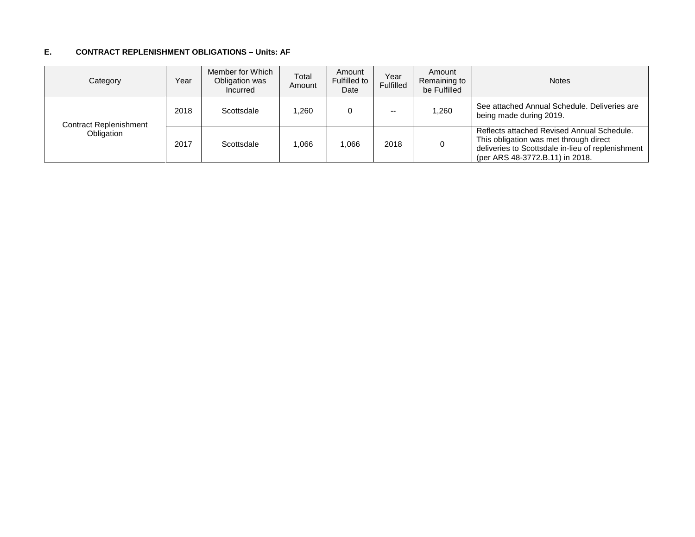#### **E. CONTRACT REPLENISHMENT OBLIGATIONS – Units: AF**

| Category               | Year | Member for Which<br>Obligation was<br>Incurred | Total<br>Amount | Amount<br>Fulfilled to<br>Date | Year<br>Fulfilled | Amount<br>Remaining to<br>be Fulfilled | <b>Notes</b>                                                                                                                                                                 |
|------------------------|------|------------------------------------------------|-----------------|--------------------------------|-------------------|----------------------------------------|------------------------------------------------------------------------------------------------------------------------------------------------------------------------------|
| Contract Replenishment | 2018 | Scottsdale                                     | 1.260           |                                | $- -$             | .260                                   | See attached Annual Schedule, Deliveries are<br>being made during 2019.                                                                                                      |
| Obligation             | 2017 | Scottsdale                                     | 1.066           | 1.066                          | 2018              |                                        | Reflects attached Revised Annual Schedule.<br>This obligation was met through direct<br>deliveries to Scottsdale in-lieu of replenishment<br>(per ARS 48-3772.B.11) in 2018. |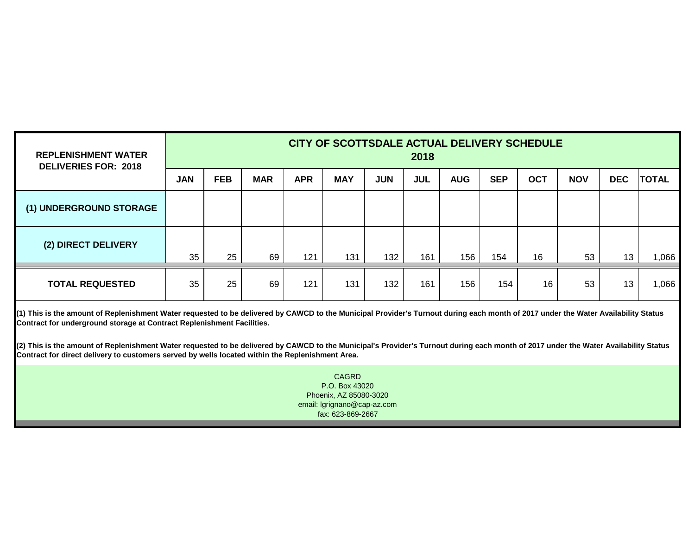| <b>REPLENISHMENT WATER</b><br><b>DELIVERIES FOR: 2018</b> | CITY OF SCOTTSDALE ACTUAL DELIVERY SCHEDULE<br>2018 |            |            |            |            |            |            |            |            |            |            |                 |              |
|-----------------------------------------------------------|-----------------------------------------------------|------------|------------|------------|------------|------------|------------|------------|------------|------------|------------|-----------------|--------------|
|                                                           | <b>JAN</b>                                          | <b>FEB</b> | <b>MAR</b> | <b>APR</b> | <b>MAY</b> | <b>JUN</b> | <b>JUL</b> | <b>AUG</b> | <b>SEP</b> | <b>OCT</b> | <b>NOV</b> | <b>DEC</b>      | <b>TOTAL</b> |
| (1) UNDERGROUND STORAGE                                   |                                                     |            |            |            |            |            |            |            |            |            |            |                 |              |
| (2) DIRECT DELIVERY                                       | 35                                                  | 25         | 69         | 121        | 131        | 132        | 161        | 156        | 154        | 16         | 53         | 13 <sub>1</sub> | 1,066        |
| <b>TOTAL REQUESTED</b>                                    | 35                                                  | 25         | 69         | 121        | 131        | 132        | 161        | 156        | 154        | 16         | 53         | 13              | 1,066        |

**(1) This is the amount of Replenishment Water requested to be delivered by CAWCD to the Municipal Provider's Turnout during each month of 2017 under the Water Availability Status Contract for underground storage at Contract Replenishment Facilities.**

**(2) This is the amount of Replenishment Water requested to be delivered by CAWCD to the Municipal's Provider's Turnout during each month of 2017 under the Water Availability Status Contract for direct delivery to customers served by wells located within the Replenishment Area.**

> Phoenix, AZ 85080-3020 email: lgrignano@cap-az.com fax: 623-869-2667 CAGRD P.O. Box 43020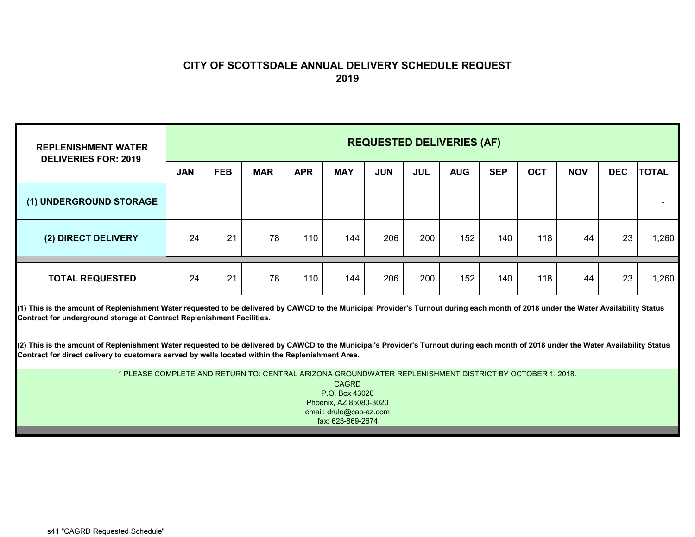## **CITY OF SCOTTSDALE ANNUAL DELIVERY SCHEDULE REQUEST 2019**

| <b>REPLENISHMENT WATER</b><br><b>DELIVERIES FOR: 2019</b> | <b>REQUESTED DELIVERIES (AF)</b> |            |            |            |            |            |            |            |            |            |            |            |              |
|-----------------------------------------------------------|----------------------------------|------------|------------|------------|------------|------------|------------|------------|------------|------------|------------|------------|--------------|
|                                                           | <b>JAN</b>                       | <b>FEB</b> | <b>MAR</b> | <b>APR</b> | <b>MAY</b> | <b>JUN</b> | <b>JUL</b> | <b>AUG</b> | <b>SEP</b> | <b>OCT</b> | <b>NOV</b> | <b>DEC</b> | <b>TOTAL</b> |
| (1) UNDERGROUND STORAGE                                   |                                  |            |            |            |            |            |            |            |            |            |            |            |              |
| (2) DIRECT DELIVERY                                       | 24                               | 21         | 78         | 110        | 144        | 206        | 200        | 152        | 140        | 118        | 44         | 23         | 1,260        |
| <b>TOTAL REQUESTED</b>                                    | 24                               | 21         | 78         | 110        | 144        | 206        | 200        | 152        | 140        | 118        | 44         | 23         | 1,260        |

**(1) This is the amount of Replenishment Water requested to be delivered by CAWCD to the Municipal Provider's Turnout during each month of 2018 under the Water Availability Status Contract for underground storage at Contract Replenishment Facilities.**

**(2) This is the amount of Replenishment Water requested to be delivered by CAWCD to the Municipal's Provider's Turnout during each month of 2018 under the Water Availability Status Contract for direct delivery to customers served by wells located within the Replenishment Area.**

> CAGRD P.O. Box 43020Phoenix, AZ 85080-3020 email: drule@cap-az.com fax: 623-869-2674\* PLEASE COMPLETE AND RETURN TO: CENTRAL ARIZONA GROUNDWATER REPLENISHMENT DISTRICT BY OCTOBER 1, 2018.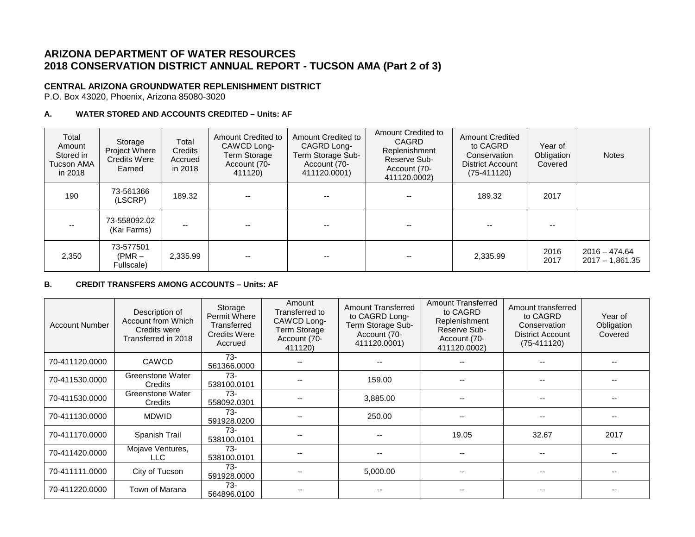# **ARIZONA DEPARTMENT OF WATER RESOURCES 2018 CONSERVATION DISTRICT ANNUAL REPORT - TUCSON AMA (Part 2 of 3)**

### **CENTRAL ARIZONA GROUNDWATER REPLENISHMENT DISTRICT**

P.O. Box 43020, Phoenix, Arizona 85080-3020

#### **A. WATER STORED AND ACCOUNTS CREDITED – Units: AF**

| Total<br>Amount<br>Stored in<br><b>Tucson AMA</b><br>in 2018 | Storage<br>Project Where<br><b>Credits Were</b><br>Earned | Total<br>Credits<br>Accrued<br>in 2018 | Amount Credited to<br>CAWCD Long-<br><b>Term Storage</b><br>Account (70-<br>411120) | Amount Credited to<br>CAGRD Long-<br>Term Storage Sub-<br>Account (70-<br>411120.0001) | Amount Credited to<br><b>CAGRD</b><br>Replenishment<br>Reserve Sub-<br>Account (70-<br>411120.0002) | <b>Amount Credited</b><br>to CAGRD<br>Conservation<br><b>District Account</b><br>$(75-411120)$ | Year of<br>Obligation<br>Covered | <b>Notes</b>                         |
|--------------------------------------------------------------|-----------------------------------------------------------|----------------------------------------|-------------------------------------------------------------------------------------|----------------------------------------------------------------------------------------|-----------------------------------------------------------------------------------------------------|------------------------------------------------------------------------------------------------|----------------------------------|--------------------------------------|
| 190                                                          | 73-561366<br>(LSCRP)                                      | 189.32                                 |                                                                                     |                                                                                        |                                                                                                     | 189.32                                                                                         | 2017                             |                                      |
|                                                              | 73-558092.02<br>(Kai Farms)                               | --                                     |                                                                                     | --                                                                                     |                                                                                                     |                                                                                                |                                  |                                      |
| 2,350                                                        | 73-577501<br>$(PMR - )$<br>Fullscale)                     | 2,335.99                               |                                                                                     |                                                                                        |                                                                                                     | 2,335.99                                                                                       | 2016<br>2017                     | $2016 - 474.64$<br>$2017 - 1,861.35$ |

#### **B. CREDIT TRANSFERS AMONG ACCOUNTS – Units: AF**

| <b>Account Number</b> | Description of<br>Account from Which<br>Credits were<br>Transferred in 2018 | Storage<br>Permit Where<br>Transferred<br><b>Credits Were</b><br>Accrued | Amount<br>Transferred to<br>CAWCD Long-<br><b>Term Storage</b><br>Account (70-<br>411120) | <b>Amount Transferred</b><br>to CAGRD Long-<br>Term Storage Sub-<br>Account (70-<br>411120.0001) | <b>Amount Transferred</b><br>to CAGRD<br>Replenishment<br>Reserve Sub-<br>Account (70-<br>411120.0002) | Amount transferred<br>to CAGRD<br>Conservation<br><b>District Account</b><br>$(75-411120)$ | Year of<br>Obligation<br>Covered |
|-----------------------|-----------------------------------------------------------------------------|--------------------------------------------------------------------------|-------------------------------------------------------------------------------------------|--------------------------------------------------------------------------------------------------|--------------------------------------------------------------------------------------------------------|--------------------------------------------------------------------------------------------|----------------------------------|
| 70-411120.0000        | <b>CAWCD</b>                                                                | $73-$<br>561366.0000                                                     |                                                                                           |                                                                                                  |                                                                                                        |                                                                                            |                                  |
| 70-411530.0000        | Greenstone Water<br>Credits                                                 | $73-$<br>538100.0101                                                     |                                                                                           | 159.00                                                                                           |                                                                                                        | --                                                                                         |                                  |
| 70-411530.0000        | Greenstone Water<br>Credits                                                 | $73-$<br>558092.0301                                                     |                                                                                           | 3,885.00                                                                                         |                                                                                                        | --                                                                                         | $-$                              |
| 70-411130.0000        | <b>MDWID</b>                                                                | $73-$<br>591928.0200                                                     |                                                                                           | 250.00                                                                                           |                                                                                                        | --                                                                                         |                                  |
| 70-411170.0000        | Spanish Trail                                                               | $73-$<br>538100.0101                                                     |                                                                                           |                                                                                                  | 19.05                                                                                                  | 32.67                                                                                      | 2017                             |
| 70-411420.0000        | Mojave Ventures,<br>LLC                                                     | $73-$<br>538100.0101                                                     |                                                                                           | --                                                                                               |                                                                                                        |                                                                                            |                                  |
| 70-411111.0000        | City of Tucson                                                              | $73-$<br>591928,0000                                                     |                                                                                           | 5,000.00                                                                                         |                                                                                                        | --                                                                                         |                                  |
| 70-411220.0000        | Town of Marana                                                              | 73-<br>564896.0100                                                       |                                                                                           |                                                                                                  |                                                                                                        |                                                                                            |                                  |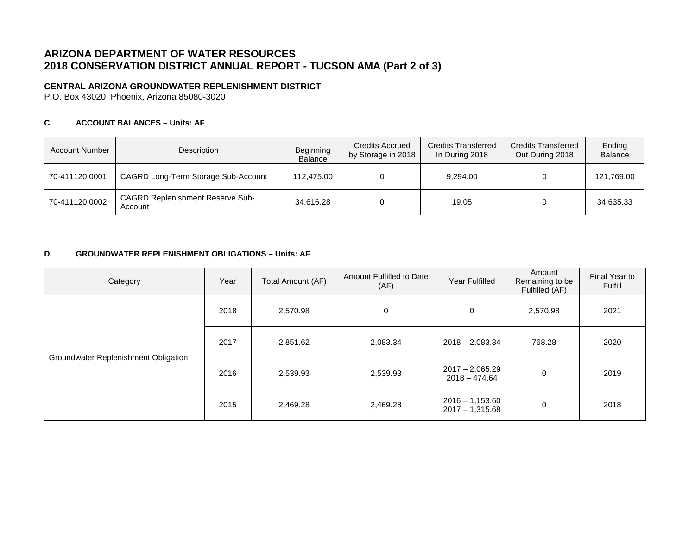# **ARIZONA DEPARTMENT OF WATER RESOURCES 2018 CONSERVATION DISTRICT ANNUAL REPORT - TUCSON AMA (Part 2 of 3)**

## **CENTRAL ARIZONA GROUNDWATER REPLENISHMENT DISTRICT**

P.O. Box 43020, Phoenix, Arizona 85080-3020

### **C. ACCOUNT BALANCES – Units: AF**

| <b>Account Number</b> | Description                                        | Beginning<br><b>Balance</b> | Credits Accrued<br>by Storage in 2018 | <b>Credits Transferred</b><br>In During 2018 | <b>Credits Transferred</b><br>Out During 2018 | Ending<br><b>Balance</b> |
|-----------------------|----------------------------------------------------|-----------------------------|---------------------------------------|----------------------------------------------|-----------------------------------------------|--------------------------|
| 70-411120.0001        | CAGRD Long-Term Storage Sub-Account                | 112,475.00                  |                                       | 9,294.00                                     |                                               | 121,769.00               |
| 70-411120.0002        | <b>CAGRD Replenishment Reserve Sub-</b><br>Account | 34,616.28                   |                                       | 19.05                                        |                                               | 34.635.33                |

#### **D. GROUNDWATER REPLENISHMENT OBLIGATIONS – Units: AF**

| Category                             | Year | Amount Fulfilled to Date<br>Total Amount (AF)<br>(AF) |          | Year Fulfilled                         | Amount<br>Remaining to be<br>Fulfilled (AF) | Final Year to<br>Fulfill |
|--------------------------------------|------|-------------------------------------------------------|----------|----------------------------------------|---------------------------------------------|--------------------------|
|                                      | 2018 | 2,570.98                                              | 0        | $\mathbf 0$                            | 2,570.98                                    | 2021                     |
|                                      | 2017 | 2,851.62<br>2,083.34                                  |          | $2018 - 2,083.34$                      | 768.28                                      | 2020                     |
| Groundwater Replenishment Obligation | 2016 | 2,539.93                                              | 2,539.93 | $2017 - 2,065.29$<br>$2018 - 474.64$   |                                             | 2019                     |
|                                      | 2015 | 2,469.28                                              | 2,469.28 | $2016 - 1,153.60$<br>$2017 - 1,315.68$ | 0                                           | 2018                     |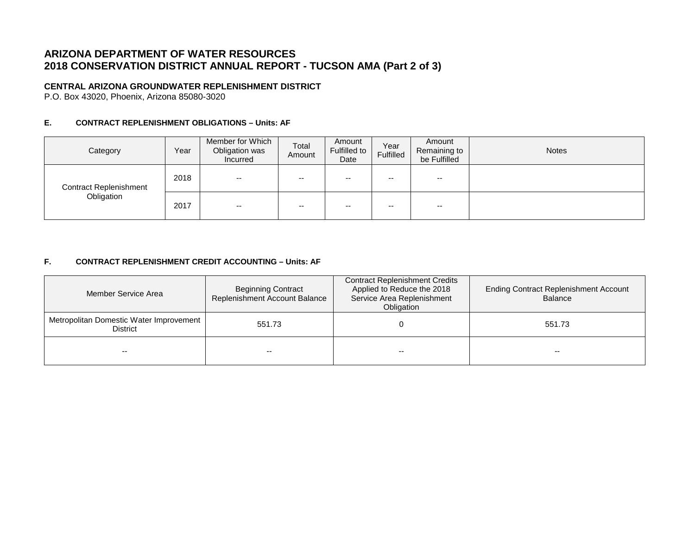# **ARIZONA DEPARTMENT OF WATER RESOURCES 2018 CONSERVATION DISTRICT ANNUAL REPORT - TUCSON AMA (Part 2 of 3)**

## **CENTRAL ARIZONA GROUNDWATER REPLENISHMENT DISTRICT**

P.O. Box 43020, Phoenix, Arizona 85080-3020

#### **E. CONTRACT REPLENISHMENT OBLIGATIONS – Units: AF**

| Category                      | Year | Member for Which<br>Obligation was<br>Incurred | Total<br>Amount | Amount<br>Fulfilled to<br>Date | Year<br>Fulfilled | Amount<br>Remaining to<br>be Fulfilled | <b>Notes</b> |
|-------------------------------|------|------------------------------------------------|-----------------|--------------------------------|-------------------|----------------------------------------|--------------|
| <b>Contract Replenishment</b> | 2018 | $- -$                                          | $- -$           | $-$                            | --                | --                                     |              |
| Obligation                    | 2017 | $- -$                                          | $- -$           | $- -$                          | --                | $- -$                                  |              |

### **F. CONTRACT REPLENISHMENT CREDIT ACCOUNTING – Units: AF**

| Member Service Area                                        | <b>Beginning Contract</b><br>Replenishment Account Balance | <b>Contract Replenishment Credits</b><br>Applied to Reduce the 2018<br>Service Area Replenishment<br>Obligation | <b>Ending Contract Replenishment Account</b><br><b>Balance</b> |  |
|------------------------------------------------------------|------------------------------------------------------------|-----------------------------------------------------------------------------------------------------------------|----------------------------------------------------------------|--|
| Metropolitan Domestic Water Improvement<br><b>District</b> | 551.73                                                     |                                                                                                                 | 551.73                                                         |  |
|                                                            |                                                            | $- -$                                                                                                           | --                                                             |  |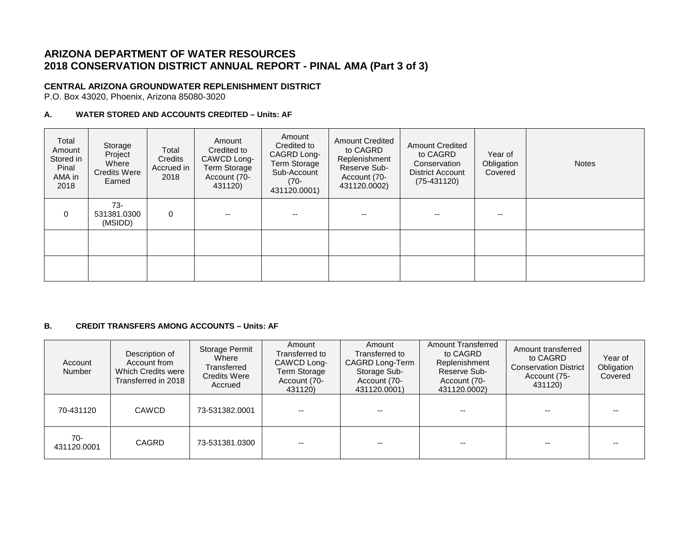# **ARIZONA DEPARTMENT OF WATER RESOURCES 2018 CONSERVATION DISTRICT ANNUAL REPORT - PINAL AMA (Part 3 of 3)**

### **CENTRAL ARIZONA GROUNDWATER REPLENISHMENT DISTRICT**

P.O. Box 43020, Phoenix, Arizona 85080-3020

### **A. WATER STORED AND ACCOUNTS CREDITED – Units: AF**

| Total<br>Amount<br>Stored in<br>Pinal<br>AMA in<br>2018 | Storage<br>Project<br>Where<br><b>Credits Were</b><br>Earned | Total<br>Credits<br>Accrued in<br>2018 | Amount<br>Credited to<br>CAWCD Long-<br><b>Term Storage</b><br>Account (70-<br>431120) | Amount<br>Credited to<br>CAGRD Long-<br>Term Storage<br>Sub-Account<br>(70-<br>431120.0001) | <b>Amount Credited</b><br>to CAGRD<br>Replenishment<br>Reserve Sub-<br>Account (70-<br>431120.0002) | <b>Amount Credited</b><br>to CAGRD<br>Conservation<br><b>District Account</b><br>$(75-431120)$ | Year of<br>Obligation<br>Covered | <b>Notes</b> |
|---------------------------------------------------------|--------------------------------------------------------------|----------------------------------------|----------------------------------------------------------------------------------------|---------------------------------------------------------------------------------------------|-----------------------------------------------------------------------------------------------------|------------------------------------------------------------------------------------------------|----------------------------------|--------------|
| $\mathbf 0$                                             | $73-$<br>531381.0300<br>(MSIDD)                              | $\mathbf 0$                            |                                                                                        |                                                                                             |                                                                                                     | --                                                                                             |                                  |              |
|                                                         |                                                              |                                        |                                                                                        |                                                                                             |                                                                                                     |                                                                                                |                                  |              |
|                                                         |                                                              |                                        |                                                                                        |                                                                                             |                                                                                                     |                                                                                                |                                  |              |

### **B. CREDIT TRANSFERS AMONG ACCOUNTS – Units: AF**

| Account<br><b>Number</b> | Description of<br>Account from<br>Which Credits were<br>Transferred in 2018 | Storage Permit<br>Where<br>Transferred<br><b>Credits Were</b><br>Accrued | Amount<br>Transferred to<br>CAWCD Long-<br><b>Term Storage</b><br>Account (70-<br>431120) | Amount<br>Transferred to<br>CAGRD Long-Term<br>Storage Sub-<br>Account (70-<br>431120.0001) | <b>Amount Transferred</b><br>to CAGRD<br>Replenishment<br>Reserve Sub-<br>Account (70-<br>431120.0002) | Amount transferred<br>to CAGRD<br><b>Conservation District</b><br>Account (75-<br>431120) | Year of<br>Obligation<br>Covered |
|--------------------------|-----------------------------------------------------------------------------|--------------------------------------------------------------------------|-------------------------------------------------------------------------------------------|---------------------------------------------------------------------------------------------|--------------------------------------------------------------------------------------------------------|-------------------------------------------------------------------------------------------|----------------------------------|
| 70-431120                | <b>CAWCD</b>                                                                | 73-531382.0001                                                           |                                                                                           |                                                                                             |                                                                                                        | $- -$                                                                                     |                                  |
| $70-$<br>431120.0001     | <b>CAGRD</b>                                                                | 73-531381.0300                                                           | --                                                                                        | --                                                                                          | --                                                                                                     | $- -$                                                                                     |                                  |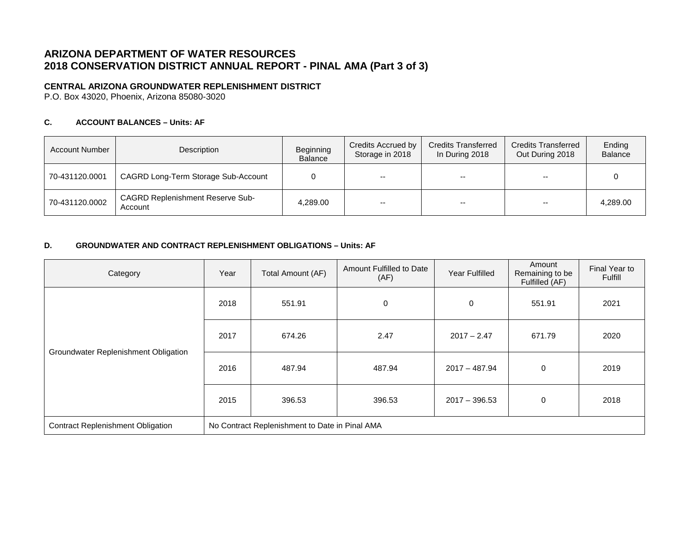# **ARIZONA DEPARTMENT OF WATER RESOURCES 2018 CONSERVATION DISTRICT ANNUAL REPORT - PINAL AMA (Part 3 of 3)**

## **CENTRAL ARIZONA GROUNDWATER REPLENISHMENT DISTRICT**

P.O. Box 43020, Phoenix, Arizona 85080-3020

### **C. ACCOUNT BALANCES – Units: AF**

| <b>Account Number</b> | Description                                        | Beginning<br>Balance | Credits Accrued by<br>Storage in 2018 | <b>Credits Transferred</b><br>In During 2018 | <b>Credits Transferred</b><br>Out During 2018 | Ending<br><b>Balance</b> |
|-----------------------|----------------------------------------------------|----------------------|---------------------------------------|----------------------------------------------|-----------------------------------------------|--------------------------|
| 70-431120.0001        | CAGRD Long-Term Storage Sub-Account                |                      | $-$                                   | $- -$                                        | $-$                                           |                          |
| 70-431120.0002        | <b>CAGRD Replenishment Reserve Sub-</b><br>Account | 4,289.00             | --                                    | --                                           | $- -$                                         | 4,289.00                 |

#### **D. GROUNDWATER AND CONTRACT REPLENISHMENT OBLIGATIONS – Units: AF**

| Category                                 | Year                                           | Total Amount (AF) | Amount Fulfilled to Date<br>(AF) | Year Fulfilled  | Amount<br>Remaining to be<br>Fulfilled (AF) | Final Year to<br>Fulfill |
|------------------------------------------|------------------------------------------------|-------------------|----------------------------------|-----------------|---------------------------------------------|--------------------------|
| Groundwater Replenishment Obligation     | 2018                                           | 551.91            | 0                                | $\mathbf 0$     | 551.91                                      | 2021                     |
|                                          | 2017                                           | 674.26            | 2.47                             | $2017 - 2.47$   | 671.79                                      | 2020                     |
|                                          | 2016                                           | 487.94            | 487.94                           | $2017 - 487.94$ | $\mathbf 0$                                 | 2019                     |
|                                          | 2015                                           | 396.53            | 396.53                           | $2017 - 396.53$ | 0                                           | 2018                     |
| <b>Contract Replenishment Obligation</b> | No Contract Replenishment to Date in Pinal AMA |                   |                                  |                 |                                             |                          |